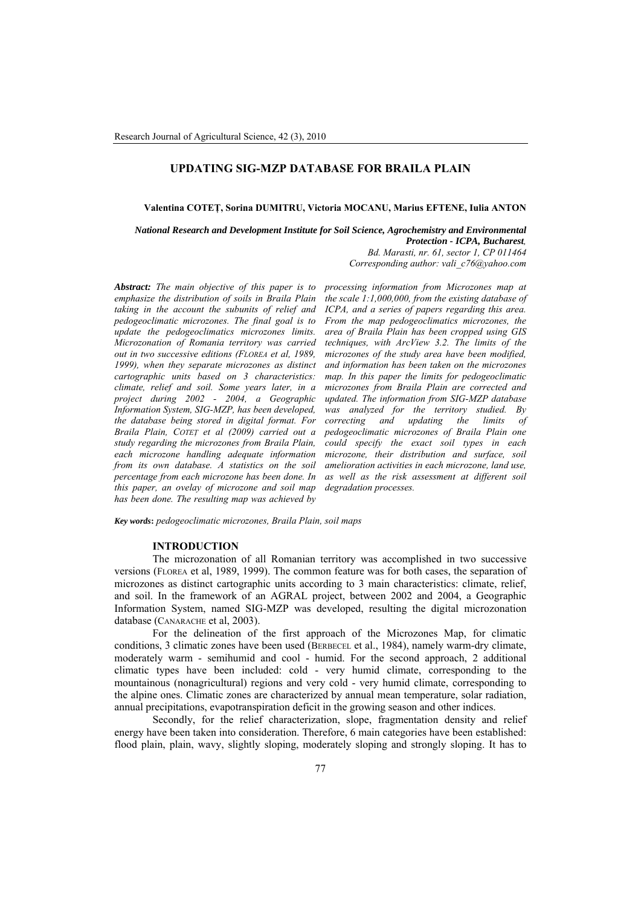## **UPDATING SIG-MZP DATABASE FOR BRAILA PLAIN**

**Valentina COTEŢ, Sorina DUMITRU, Victoria MOCANU, Marius EFTENE, Iulia ANTON** 

*National Research and Development Institute for Soil Science, Agrochemistry and Environmental Protection - ICPA, Bucharest, Bd. Marasti, nr. 61, sector 1, CP 011464 Corresponding author: [vali\\_c76@yahoo.com](mailto:vali_c76@yahoo.com)*

*Abstract: The main objective of this paper is to emphasize the distribution of soils in Braila Plain taking in the account the subunits of relief and pedogeoclimatic microzones. The final goal is to update the pedogeoclimatics microzones limits. Microzonation of Romania territory was carried out in two successive editions (FLOREA et al, 1989, 1999), when they separate microzones as distinct cartographic units based on 3 characteristics: climate, relief and soil. Some years later, in a project during 2002 - 2004, a Geographic Information System, SIG-MZP, has been developed, the database being stored in digital format. For Braila Plain, COTEŢ et al (2009) carried out a study regarding the microzones from Braila Plain, each microzone handling adequate information from its own database. A statistics on the soil percentage from each microzone has been done. In this paper, an ovelay of microzone and soil map has been done. The resulting map was achieved by* 

*processing information from Microzones map at the scale 1:1,000,000, from the existing database of ICPA, and a series of papers regarding this area. From the map pedogeoclimatics microzones, the area of Braila Plain has been cropped using GIS techniques, with ArcView 3.2. The limits of the microzones of the study area have been modified, and information has been taken on the microzones map. In this paper the limits for pedogeoclimatic microzones from Braila Plain are corrected and updated. The information from SIG-MZP database was analyzed for the territory studied. By correcting and updating the limits of pedogeoclimatic microzones of Braila Plain one could specify the exact soil types in each microzone, their distribution and surface, soil amelioration activities in each microzone, land use, as well as the risk assessment at different soil degradation processes.* 

*Key words***:** *pedogeoclimatic microzones, Braila Plain, soil maps*

## **INTRODUCTION**

The microzonation of all Romanian territory was accomplished in two successive versions (FLOREA et al, 1989, 1999). The common feature was for both cases, the separation of microzones as distinct cartographic units according to 3 main characteristics: climate, relief, and soil. In the framework of an AGRAL project, between 2002 and 2004, a Geographic Information System, named SIG-MZP was developed, resulting the digital microzonation database (CANARACHE et al, 2003).

For the delineation of the first approach of the Microzones Map, for climatic conditions, 3 climatic zones have been used (BERBECEL et al., 1984), namely warm-dry climate, moderately warm - semihumid and cool - humid. For the second approach, 2 additional climatic types have been included: cold - very humid climate, corresponding to the mountainous (nonagricultural) regions and very cold - very humid climate, corresponding to the alpine ones. Climatic zones are characterized by annual mean temperature, solar radiation, annual precipitations, evapotranspiration deficit in the growing season and other indices.

Secondly, for the relief characterization, slope, fragmentation density and relief energy have been taken into consideration. Therefore, 6 main categories have been established: flood plain, plain, wavy, slightly sloping, moderately sloping and strongly sloping. It has to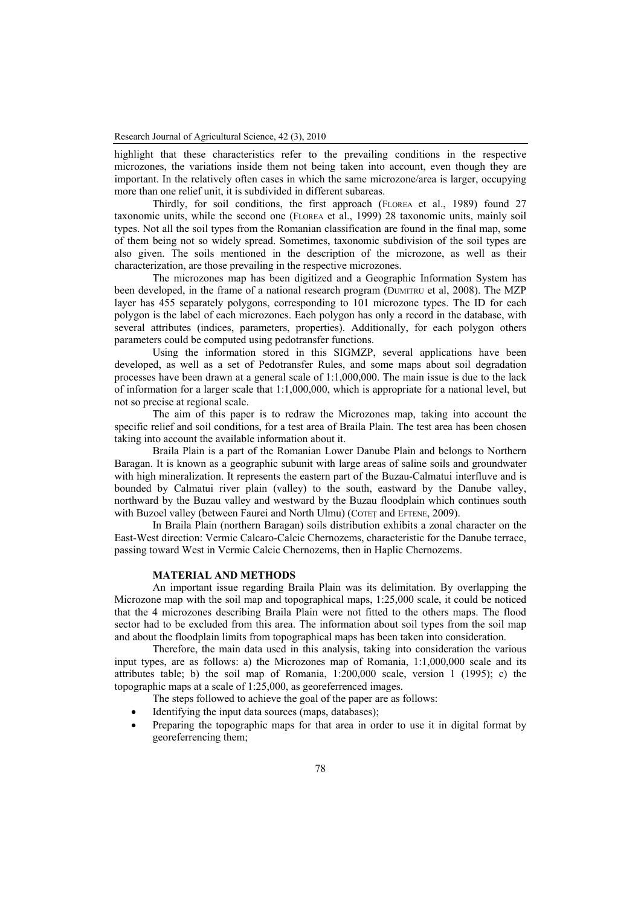highlight that these characteristics refer to the prevailing conditions in the respective microzones, the variations inside them not being taken into account, even though they are important. In the relatively often cases in which the same microzone/area is larger, occupying more than one relief unit, it is subdivided in different subareas.

Thirdly, for soil conditions, the first approach (FLOREA et al., 1989) found 27 taxonomic units, while the second one (FLOREA et al., 1999) 28 taxonomic units, mainly soil types. Not all the soil types from the Romanian classification are found in the final map, some of them being not so widely spread. Sometimes, taxonomic subdivision of the soil types are also given. The soils mentioned in the description of the microzone, as well as their characterization, are those prevailing in the respective microzones.

The microzones map has been digitized and a Geographic Information System has been developed, in the frame of a national research program (DUMITRU et al, 2008). The MZP layer has 455 separately polygons, corresponding to 101 microzone types. The ID for each polygon is the label of each microzones. Each polygon has only a record in the database, with several attributes (indices, parameters, properties). Additionally, for each polygon others parameters could be computed using pedotransfer functions.

Using the information stored in this SIGMZP, several applications have been developed, as well as a set of Pedotransfer Rules, and some maps about soil degradation processes have been drawn at a general scale of 1:1,000,000. The main issue is due to the lack of information for a larger scale that 1:1,000,000, which is appropriate for a national level, but not so precise at regional scale.

The aim of this paper is to redraw the Microzones map, taking into account the specific relief and soil conditions, for a test area of Braila Plain. The test area has been chosen taking into account the available information about it.

Braila Plain is a part of the Romanian Lower Danube Plain and belongs to Northern Baragan. It is known as a geographic subunit with large areas of saline soils and groundwater with high mineralization. It represents the eastern part of the Buzau-Calmatui interfluve and is bounded by Calmatui river plain (valley) to the south, eastward by the Danube valley, northward by the Buzau valley and westward by the Buzau floodplain which continues south with Buzoel valley (between Faurei and North Ulmu) (COTET and EFTENE, 2009).

In Braila Plain (northern Baragan) soils distribution exhibits a zonal character on the East-West direction: Vermic Calcaro-Calcic Chernozems, characteristic for the Danube terrace, passing toward West in Vermic Calcic Chernozems, then in Haplic Chernozems.

### **MATERIAL AND METHODS**

An important issue regarding Braila Plain was its delimitation. By overlapping the Microzone map with the soil map and topographical maps, 1:25,000 scale, it could be noticed that the 4 microzones describing Braila Plain were not fitted to the others maps. The flood sector had to be excluded from this area. The information about soil types from the soil map and about the floodplain limits from topographical maps has been taken into consideration.

Therefore, the main data used in this analysis, taking into consideration the various input types, are as follows: a) the Microzones map of Romania, 1:1,000,000 scale and its attributes table; b) the soil map of Romania, 1:200,000 scale, version 1 (1995); c) the topographic maps at a scale of 1:25,000, as georeferrenced images.

- The steps followed to achieve the goal of the paper are as follows:
- Identifying the input data sources (maps, databases);
- Preparing the topographic maps for that area in order to use it in digital format by georeferrencing them;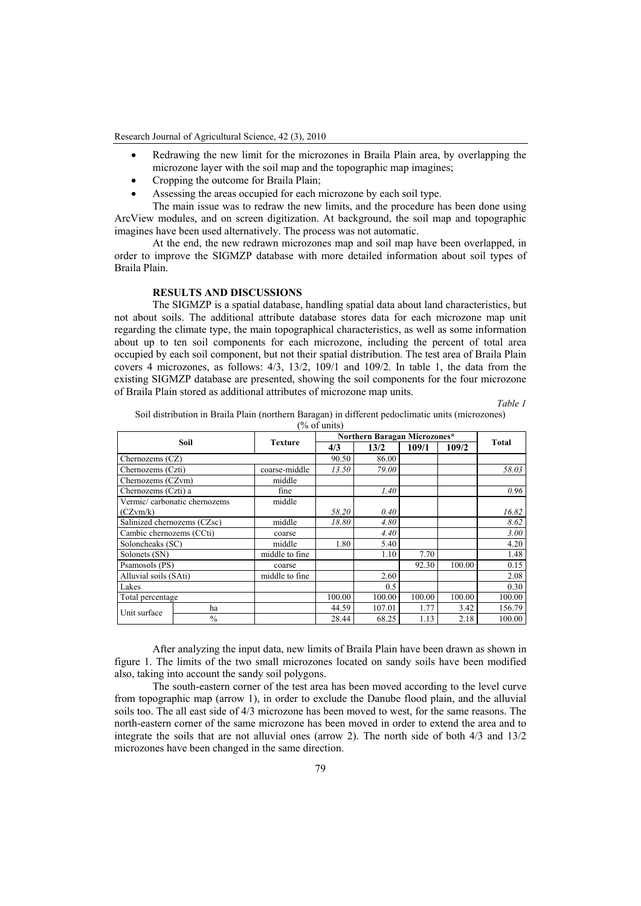Research Journal of Agricultural Science, 42 (3), 2010

- Redrawing the new limit for the microzones in Braila Plain area, by overlapping the microzone layer with the soil map and the topographic map imagines;
- Cropping the outcome for Braila Plain;
- Assessing the areas occupied for each microzone by each soil type.

The main issue was to redraw the new limits, and the procedure has been done using ArcView modules, and on screen digitization. At background, the soil map and topographic imagines have been used alternatively. The process was not automatic.

At the end, the new redrawn microzones map and soil map have been overlapped, in order to improve the SIGMZP database with more detailed information about soil types of Braila Plain.

# **RESULTS AND DISCUSSIONS**

The SIGMZP is a spatial database, handling spatial data about land characteristics, but not about soils. The additional attribute database stores data for each microzone map unit regarding the climate type, the main topographical characteristics, as well as some information about up to ten soil components for each microzone, including the percent of total area occupied by each soil component, but not their spatial distribution. The test area of Braila Plain covers 4 microzones, as follows: 4/3, 13/2, 109/1 and 109/2. In table 1, the data from the existing SIGMZP database are presented, showing the soil components for the four microzone of Braila Plain stored as additional attributes of microzone map units.

*Table 1* 

Soil distribution in Braila Plain (northern Baragan) in different pedoclimatic units (microzones)

|                               |               |                | $\frac{9}{6}$ of units)      |        |        |        |        |
|-------------------------------|---------------|----------------|------------------------------|--------|--------|--------|--------|
|                               |               |                | Northern Baragan Microzones* |        |        |        |        |
| Soil                          |               | <b>Texture</b> | 4/3                          | 13/2   | 109/1  | 109/2  | Total  |
| Chernozems (CZ)               |               |                | 90.50                        | 86.00  |        |        |        |
| Chernozems (Czti)             |               | coarse-middle  | 13.50                        | 79.00  |        |        | 58.03  |
| Chernozems (CZvm)             |               | middle         |                              |        |        |        |        |
| Chernozems (Czti) a           |               | fine           |                              | 1.40   |        |        | 0.96   |
| Vermic/ carbonatic chernozems |               | middle         |                              |        |        |        |        |
| (CZvm/k)                      |               |                | 58.20                        | 0.40   |        |        | 16.82  |
| Salinized chernozems (CZsc)   |               | middle         | 18.80                        | 4.80   |        |        | 8.62   |
| Cambic chernozems (CCti)      |               | coarse         |                              | 4.40   |        |        | 3.00   |
| Soloncheaks (SC)              |               | middle         | 1.80                         | 5.40   |        |        | 4.20   |
| Solonets (SN)                 |               | middle to fine |                              | 1.10   | 7.70   |        | 1.48   |
| Psamosols (PS)                |               | coarse         |                              |        | 92.30  | 100.00 | 0.15   |
| Alluvial soils (SAti)         |               | middle to fine |                              | 2.60   |        |        | 2.08   |
| Lakes                         |               |                |                              | 0.5    |        |        | 0.30   |
| Total percentage              |               |                | 100.00                       | 100.00 | 100.00 | 100.00 | 100.00 |
| Unit surface                  | ha            |                | 44.59                        | 107.01 | 1.77   | 3.42   | 156.79 |
|                               | $\frac{0}{0}$ |                | 28.44                        | 68.25  | 1.13   | 2.18   | 100.00 |

After analyzing the input data, new limits of Braila Plain have been drawn as shown in figure 1. The limits of the two small microzones located on sandy soils have been modified also, taking into account the sandy soil polygons.

The south-eastern corner of the test area has been moved according to the level curve from topographic map (arrow 1), in order to exclude the Danube flood plain, and the alluvial soils too. The all east side of 4/3 microzone has been moved to west, for the same reasons. The north-eastern corner of the same microzone has been moved in order to extend the area and to integrate the soils that are not alluvial ones (arrow 2). The north side of both 4/3 and 13/2 microzones have been changed in the same direction.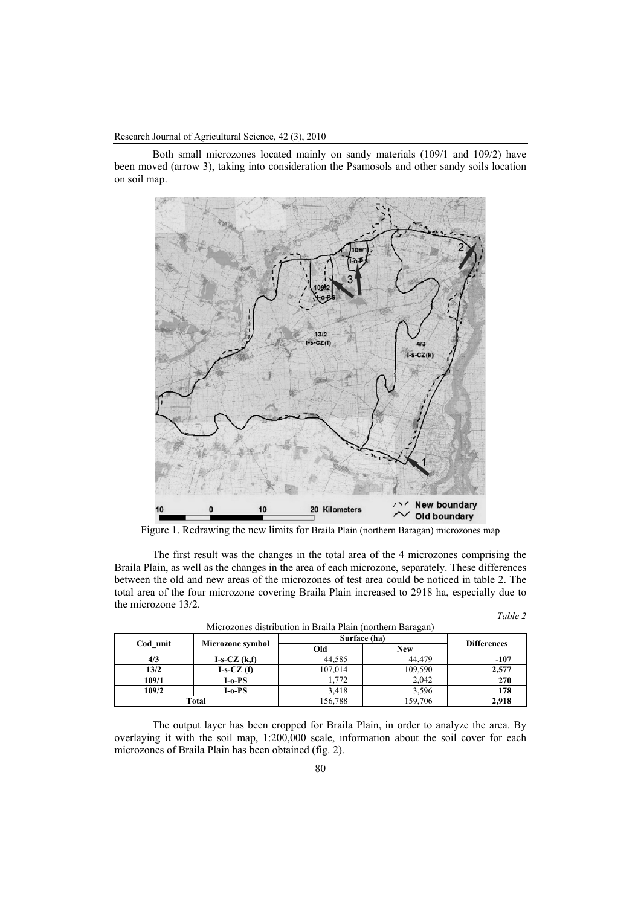Research Journal of Agricultural Science, 42 (3), 2010

Both small microzones located mainly on sandy materials (109/1 and 109/2) have been moved (arrow 3), taking into consideration the Psamosols and other sandy soils location on soil map.



Figure 1. Redrawing the new limits for Braila Plain (northern Baragan) microzones map

The first result was the changes in the total area of the 4 microzones comprising the Braila Plain, as well as the changes in the area of each microzone, separately. These differences between the old and new areas of the microzones of test area could be noticed in table 2. The total area of the four microzone covering Braila Plain increased to 2918 ha, especially due to the microzone 13/2.

| an |  |
|----|--|
|    |  |

| Cod unit | Microzone symbol | Surface (ha) | <b>Differences</b> |        |  |
|----------|------------------|--------------|--------------------|--------|--|
|          |                  | Old          | <b>New</b>         |        |  |
| 4/3      | $I-S-CZ(k,f)$    | 44,585       | 44.479             | $-107$ |  |
| 13/2     | $I-S-CZ(f)$      | 107.014      | 109,590            | 2,577  |  |
| 109/1    | $I-o-PS$         | .772         | 2,042              | 270    |  |
| 109/2    | I-o-PS           | 3,418        | 3,596              | 178    |  |
| Total    |                  | 156,788      | 159,706            | 2,918  |  |

Microzones distribution in Braila Plain (northern Baragan)

The output layer has been cropped for Braila Plain, in order to analyze the area. By overlaying it with the soil map, 1:200,000 scale, information about the soil cover for each microzones of Braila Plain has been obtained (fig. 2).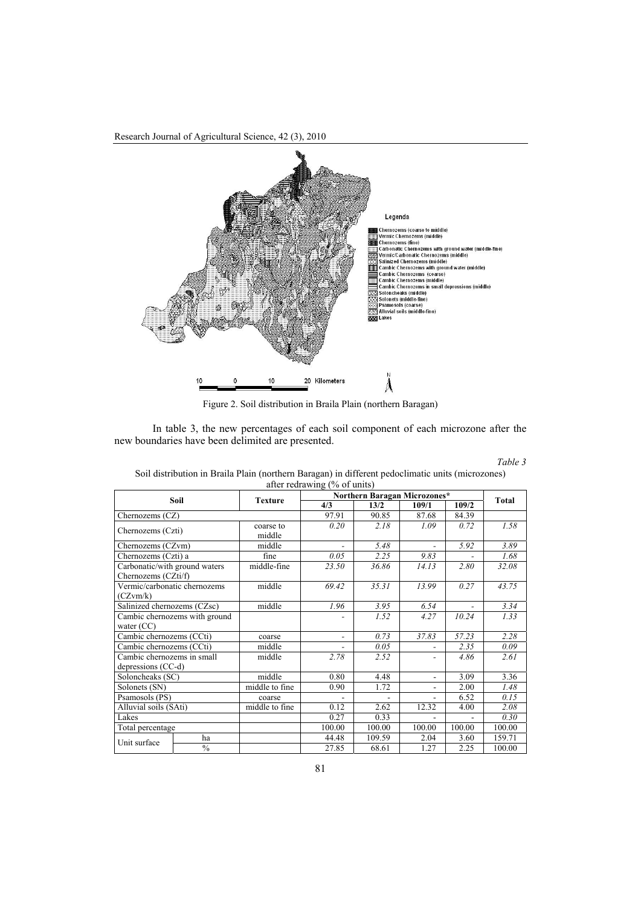

Figure 2. Soil distribution in Braila Plain (northern Baragan)

In table 3, the new percentages of each soil component of each microzone after the new boundaries have been delimited are presented.

| <i>l</i> able |  |
|---------------|--|
|---------------|--|

| Soil distribution in Braila Plain (northern Baragan) in different pedoclimatic units (microzones) |  |  |  |  |  |  |
|---------------------------------------------------------------------------------------------------|--|--|--|--|--|--|
| after redrawing $(\%$ of units)                                                                   |  |  |  |  |  |  |

| Soil                                                 |               | <b>Texture</b>      | $\frac{1}{2}$<br>Northern Baragan Microzones* |        |                          |        |              |
|------------------------------------------------------|---------------|---------------------|-----------------------------------------------|--------|--------------------------|--------|--------------|
|                                                      |               |                     | 4/3                                           | 13/2   | 109/1                    | 109/2  | <b>Total</b> |
| Chernozems (CZ)                                      |               |                     | 97.91                                         | 90.85  | 87.68                    | 84.39  |              |
| Chernozems (Czti)                                    |               | coarse to<br>middle | 0.20                                          | 2.18   | 1.09                     | 0.72   | 1.58         |
| Chernozems (CZvm)                                    |               | middle              |                                               | 5.48   | ٠                        | 5.92   | 3.89         |
| Chernozems (Czti) a                                  |               | fine                | 0.05                                          | 2.25   | 9.83                     |        | 1.68         |
| Carbonatic/with ground waters<br>Chernozems (CZti/f) |               | middle-fine         | 23.50                                         | 36.86  | 14.13                    | 2.80   | 32.08        |
| Vermic/carbonatic chernozems<br>(CZvm/k)             |               | middle              | 69.42                                         | 35.31  | 13.99                    | 0.27   | 43.75        |
| Salinized chernozems (CZsc)                          |               | middle              | 1.96                                          | 3.95   | 6.54                     |        | 3.34         |
| Cambic chernozems with ground<br>water $(CC)$        |               |                     |                                               | 1.52   | 4.27                     | 10.24  | 1.33         |
| Cambic chernozems (CCti)                             |               | coarse              |                                               | 0.73   | 37.83                    | 57.23  | 2.28         |
| Cambic chernozems (CCti)                             |               | middle              |                                               | 0.05   |                          | 2.35   | 0.09         |
| Cambic chernozems in small<br>depressions (CC-d)     |               | middle              | 2.78                                          | 2.52   | ۰                        | 4.86   | 2.61         |
| Soloncheaks (SC)                                     |               | middle              | 0.80                                          | 4.48   | $\overline{\phantom{a}}$ | 3.09   | 3.36         |
| Solonets (SN)                                        |               | middle to fine      | 0.90                                          | 1.72   | ۰                        | 2.00   | 1.48         |
| Psamosols (PS)                                       |               | coarse              |                                               |        | $\overline{\phantom{a}}$ | 6.52   | 0.15         |
| Alluvial soils (SAti)                                |               | middle to fine      | 0.12                                          | 2.62   | 12.32                    | 4.00   | 2.08         |
| Lakes                                                |               |                     | 0.27                                          | 0.33   |                          |        | 0.30         |
| Total percentage                                     |               |                     | 100.00                                        | 100.00 | 100.00                   | 100.00 | 100.00       |
| Unit surface                                         | ha            |                     | 44.48                                         | 109.59 | 2.04                     | 3.60   | 159.71       |
|                                                      | $\frac{0}{0}$ |                     | 27.85                                         | 68.61  | 1.27                     | 2.25   | 100.00       |